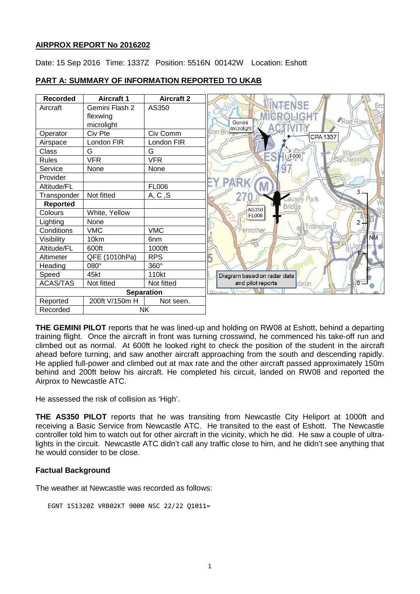## **AIRPROX REPORT No 2016202**

Date: 15 Sep 2016 Time: 1337Z Position: 5516N 00142W Location: Eshott

#### **Recorded Aircraft 1 Aircraft 2 ENSE** Aircraft Gemini Flash 2 AS350 flexwing **GROLIGHT** Red Gemini microlight microlight  $\overline{\text{on } \text{Bi}}$ Operator | Civ Pte | Civ Comm **CPA1337** Airspace | London FIR | London FIR Class G G G **West**  $\downarrow$ F006 Rules VFR VFR Chevington 67 Service None None Provider **PARK** Altitude/FL FL006  $\overline{\mathbf{z}}$ Transponder | Not fitted  $A, C, S$ ausey Park **Reported**<br>Colours **Bridge AS350** White, Yellow FL008 Lighting None  $\overline{2}$ Tritlington Conditions VMC VMC enrothe **NM** Visibility 10km | 6nm Altitude/FL 600ft 1000ft Altimeter | QFE (1010hPa) | RPS Heading 080° 360° Speed 45kt 110kt Diagram based on radar data and pilot reports ACAS/TAS | Not fitted | Not fitted ebron **Separation** Diade Reported 200ft V/150m H Not seen. Recorded NK

## **PART A: SUMMARY OF INFORMATION REPORTED TO UKAB**

**THE GEMINI PILOT** reports that he was lined-up and holding on RW08 at Eshott, behind a departing training flight. Once the aircraft in front was turning crosswind, he commenced his take-off run and climbed out as normal. At 600ft he looked right to check the position of the student in the aircraft ahead before turning, and saw another aircraft approaching from the south and descending rapidly. He applied full-power and climbed out at max rate and the other aircraft passed approximately 150m behind and 200ft below his aircraft. He completed his circuit, landed on RW08 and reported the Airprox to Newcastle ATC.

He assessed the risk of collision as 'High'.

**THE AS350 PILOT** reports that he was transiting from Newcastle City Heliport at 1000ft and receiving a Basic Service from Newcastle ATC. He transited to the east of Eshott. The Newcastle controller told him to watch out for other aircraft in the vicinity, which he did. He saw a couple of ultralights in the circuit. Newcastle ATC didn't call any traffic close to him, and he didn't see anything that he would consider to be close.

## **Factual Background**

The weather at Newcastle was recorded as follows:

```
EGNT 151320Z VRB02KT 9000 NSC 22/22 Q1011=
```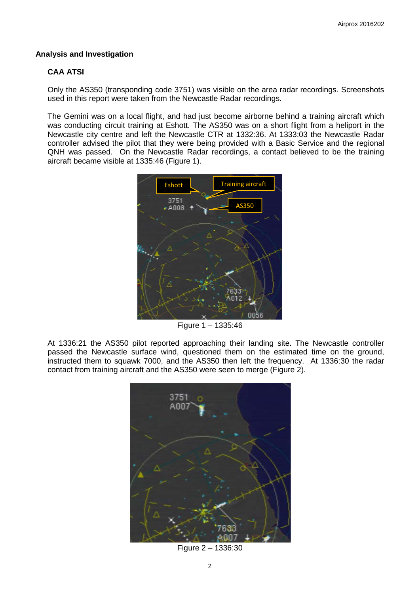#### **Analysis and Investigation**

## **CAA ATSI**

Only the AS350 (transponding code 3751) was visible on the area radar recordings. Screenshots used in this report were taken from the Newcastle Radar recordings.

The Gemini was on a local flight, and had just become airborne behind a training aircraft which was conducting circuit training at Eshott. The AS350 was on a short flight from a heliport in the Newcastle city centre and left the Newcastle CTR at 1332:36. At 1333:03 the Newcastle Radar controller advised the pilot that they were being provided with a Basic Service and the regional QNH was passed. On the Newcastle Radar recordings, a contact believed to be the training aircraft became visible at 1335:46 (Figure 1).



Figure 1 – 1335:46

At 1336:21 the AS350 pilot reported approaching their landing site. The Newcastle controller passed the Newcastle surface wind, questioned them on the estimated time on the ground, instructed them to squawk 7000, and the AS350 then left the frequency. At 1336:30 the radar contact from training aircraft and the AS350 were seen to merge (Figure 2).



Figure 2 – 1336:30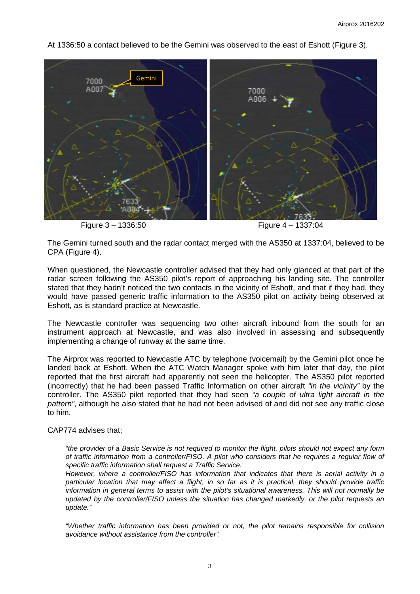

At 1336:50 a contact believed to be the Gemini was observed to the east of Eshott (Figure 3).

Figure 3 – 1336:50 Figure 4 – 1337:04

The Gemini turned south and the radar contact merged with the AS350 at 1337:04, believed to be CPA (Figure 4).

When questioned, the Newcastle controller advised that they had only glanced at that part of the radar screen following the AS350 pilot's report of approaching his landing site. The controller stated that they hadn't noticed the two contacts in the vicinity of Eshott, and that if they had, they would have passed generic traffic information to the AS350 pilot on activity being observed at Eshott, as is standard practice at Newcastle.

The Newcastle controller was sequencing two other aircraft inbound from the south for an instrument approach at Newcastle, and was also involved in assessing and subsequently implementing a change of runway at the same time.

The Airprox was reported to Newcastle ATC by telephone (voicemail) by the Gemini pilot once he landed back at Eshott. When the ATC Watch Manager spoke with him later that day, the pilot reported that the first aircraft had apparently not seen the helicopter. The AS350 pilot reported (incorrectly) that he had been passed Traffic Information on other aircraft *"in the vicinity"* by the controller. The AS350 pilot reported that they had seen *"a couple of ultra light aircraft in the pattern"*, although he also stated that he had not been advised of and did not see any traffic close to him.

## CAP774 advises that;

*"the provider of a Basic Service is not required to monitor the flight, pilots should not expect any form of traffic information from a controller/FISO. A pilot who considers that he requires a regular flow of specific traffic information shall request a Traffic Service.* 

*However, where a controller/FISO has information that indicates that there is aerial activity in a particular location that may affect a flight, in so far as it is practical, they should provide traffic information in general terms to assist with the pilot's situational awareness. This will not normally be updated by the controller/FISO unless the situation has changed markedly, or the pilot requests an update."*

*"Whether traffic information has been provided or not, the pilot remains responsible for collision avoidance without assistance from the controller".*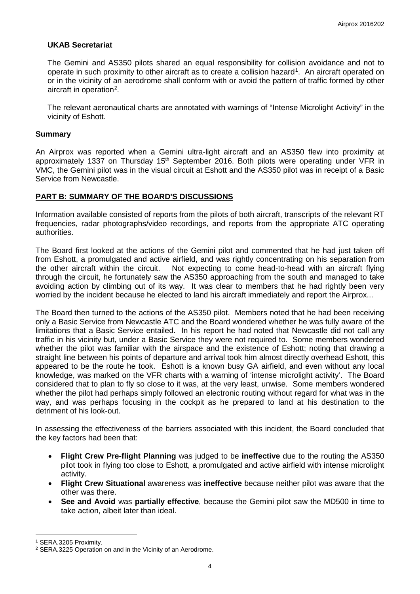#### **UKAB Secretariat**

The Gemini and AS350 pilots shared an equal responsibility for collision avoidance and not to operate in such proximity to other aircraft as to create a collision hazard<sup>[1](#page-3-0)</sup>. An aircraft operated on or in the vicinity of an aerodrome shall conform with or avoid the pattern of traffic formed by other aircraft in operation<sup>[2](#page-3-1)</sup>.

The relevant aeronautical charts are annotated with warnings of "Intense Microlight Activity" in the vicinity of Eshott.

#### **Summary**

An Airprox was reported when a Gemini ultra-light aircraft and an AS350 flew into proximity at approximately 1337 on Thursday 15<sup>th</sup> September 2016. Both pilots were operating under VFR in VMC, the Gemini pilot was in the visual circuit at Eshott and the AS350 pilot was in receipt of a Basic Service from Newcastle.

#### **PART B: SUMMARY OF THE BOARD'S DISCUSSIONS**

Information available consisted of reports from the pilots of both aircraft, transcripts of the relevant RT frequencies, radar photographs/video recordings, and reports from the appropriate ATC operating authorities.

The Board first looked at the actions of the Gemini pilot and commented that he had just taken off from Eshott, a promulgated and active airfield, and was rightly concentrating on his separation from the other aircraft within the circuit. Not expecting to come head-to-head with an aircraft flying through the circuit, he fortunately saw the AS350 approaching from the south and managed to take avoiding action by climbing out of its way. It was clear to members that he had rightly been very worried by the incident because he elected to land his aircraft immediately and report the Airprox...

The Board then turned to the actions of the AS350 pilot. Members noted that he had been receiving only a Basic Service from Newcastle ATC and the Board wondered whether he was fully aware of the limitations that a Basic Service entailed. In his report he had noted that Newcastle did not call any traffic in his vicinity but, under a Basic Service they were not required to. Some members wondered whether the pilot was familiar with the airspace and the existence of Eshott; noting that drawing a straight line between his points of departure and arrival took him almost directly overhead Eshott, this appeared to be the route he took. Eshott is a known busy GA airfield, and even without any local knowledge, was marked on the VFR charts with a warning of 'intense microlight activity'. The Board considered that to plan to fly so close to it was, at the very least, unwise. Some members wondered whether the pilot had perhaps simply followed an electronic routing without regard for what was in the way, and was perhaps focusing in the cockpit as he prepared to land at his destination to the detriment of his look-out.

In assessing the effectiveness of the barriers associated with this incident, the Board concluded that the key factors had been that:

- **Flight Crew Pre-flight Planning** was judged to be **ineffective** due to the routing the AS350 pilot took in flying too close to Eshott, a promulgated and active airfield with intense microlight activity.
- **Flight Crew Situational** awareness was **ineffective** because neither pilot was aware that the other was there.
- **See and Avoid** was **partially effective**, because the Gemini pilot saw the MD500 in time to take action, albeit later than ideal.

l

<span id="page-3-0"></span><sup>1</sup> SERA.3205 Proximity.

<span id="page-3-1"></span><sup>2</sup> SERA.3225 Operation on and in the Vicinity of an Aerodrome.